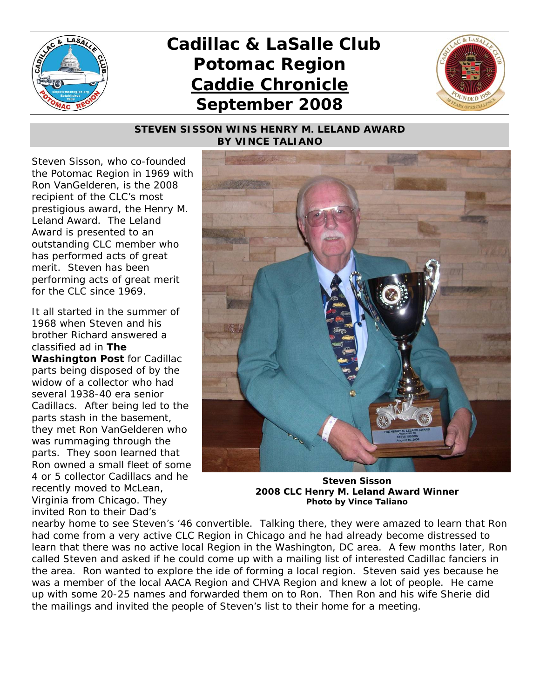

## *Cadillac & LaSalle Club Potomac Region Caddie Chronicle September 2008*



## *STEVEN SISSON WINS HENRY M. LELAND AWARD BY VINCE TALIANO*

Steven Sisson, who co-founded the Potomac Region in 1969 with Ron VanGelderen, is the 2008 recipient of the CLC's most prestigious award, the Henry M. Leland Award. The Leland Award is presented to an outstanding CLC member who has performed acts of great merit. Steven has been performing acts of great merit for the CLC since 1969.

It all started in the summer of 1968 when Steven and his brother Richard answered a classified ad in *The Washington Post* for Cadillac parts being disposed of by the widow of a collector who had several 1938-40 era senior Cadillacs. After being led to the parts stash in the basement, they met Ron VanGelderen who was rummaging through the parts. They soon learned that Ron owned a small fleet of some 4 or 5 collector Cadillacs and he recently moved to McLean, Virginia from Chicago. They invited Ron to their Dad's



**Steven Sisson 2008 CLC Henry M. Leland Award Winner Photo by Vince Taliano**

nearby home to see Steven's '46 convertible. Talking there, they were amazed to learn that Ron had come from a very active CLC Region in Chicago and he had already become distressed to learn that there was no active local Region in the Washington, DC area. A few months later, Ron called Steven and asked if he could come up with a mailing list of interested Cadillac fanciers in the area. Ron wanted to explore the ide of forming a local region. Steven said yes because he was a member of the local AACA Region and CHVA Region and knew a lot of people. He came up with some 20-25 names and forwarded them on to Ron. Then Ron and his wife Sherie did the mailings and invited the people of Steven's list to their home for a meeting.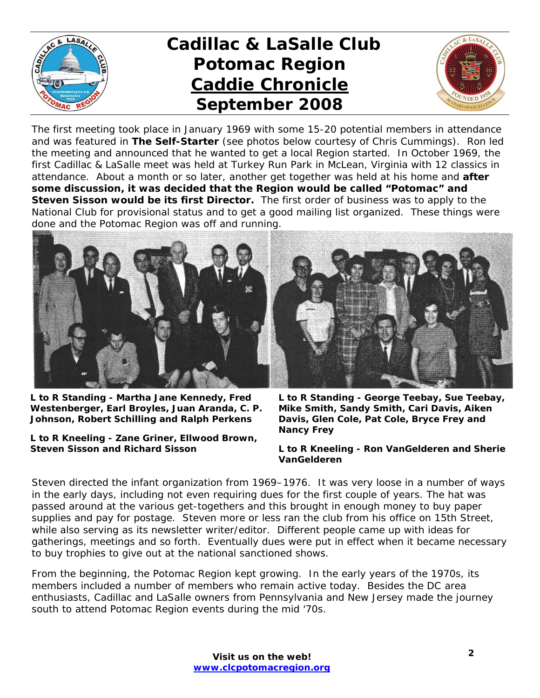

## *Cadillac & LaSalle Club Potomac Region Caddie Chronicle September 2008*



The first meeting took place in January 1969 with some 15-20 potential members in attendance and was featured in *The Self-Starter* (see photos below courtesy of Chris Cummings). Ron led the meeting and announced that he wanted to get a local Region started. In October 1969, the first Cadillac & LaSalle meet was held at Turkey Run Park in McLean, Virginia with 12 classics in attendance. About a month or so later, another get together was held at his home and **after some discussion, it was decided that the Region would be called "Potomac" and Steven Sisson would be its first Director.** The first order of business was to apply to the National Club for provisional status and to get a good mailing list organized. These things were done and the Potomac Region was off and running.



**L to R Standing - Martha Jane Kennedy, Fred Westenberger, Earl Broyles, Juan Aranda, C. P. Johnson, Robert Schilling and Ralph Perkens** 

**L to R Kneeling - Zane Griner, Ellwood Brown, Steven Sisson and Richard Sisson** 

**L to R Standing - George Teebay, Sue Teebay, Mike Smith, Sandy Smith, Cari Davis, Aiken Davis, Glen Cole, Pat Cole, Bryce Frey and Nancy Frey** 

**L to R Kneeling - Ron VanGelderen and Sherie VanGelderen** 

Steven directed the infant organization from 1969–1976. It was very loose in a number of ways in the early days, including not even requiring dues for the first couple of years. The hat was passed around at the various get-togethers and this brought in enough money to buy paper supplies and pay for postage. Steven more or less ran the club from his office on 15th Street, while also serving as its newsletter writer/editor. Different people came up with ideas for gatherings, meetings and so forth. Eventually dues were put in effect when it became necessary to buy trophies to give out at the national sanctioned shows.

From the beginning, the Potomac Region kept growing. In the early years of the 1970s, its members included a number of members who remain active today. Besides the DC area enthusiasts, Cadillac and LaSalle owners from Pennsylvania and New Jersey made the journey south to attend Potomac Region events during the mid '70s.